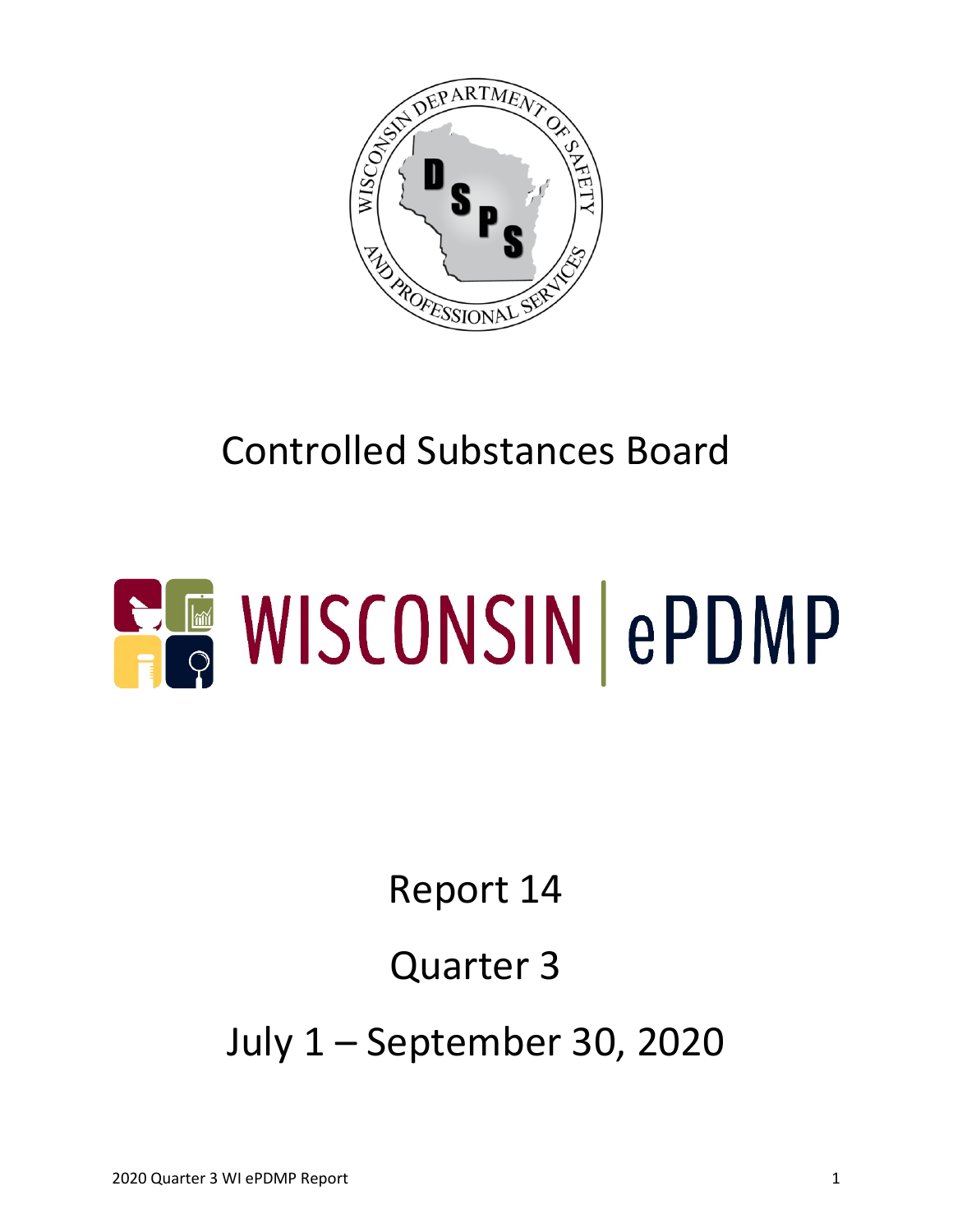

# Controlled Substances Board

# **ELE WISCONSIN ePDMP**

## Report 14

# Quarter 3

July 1 – September 30, 2020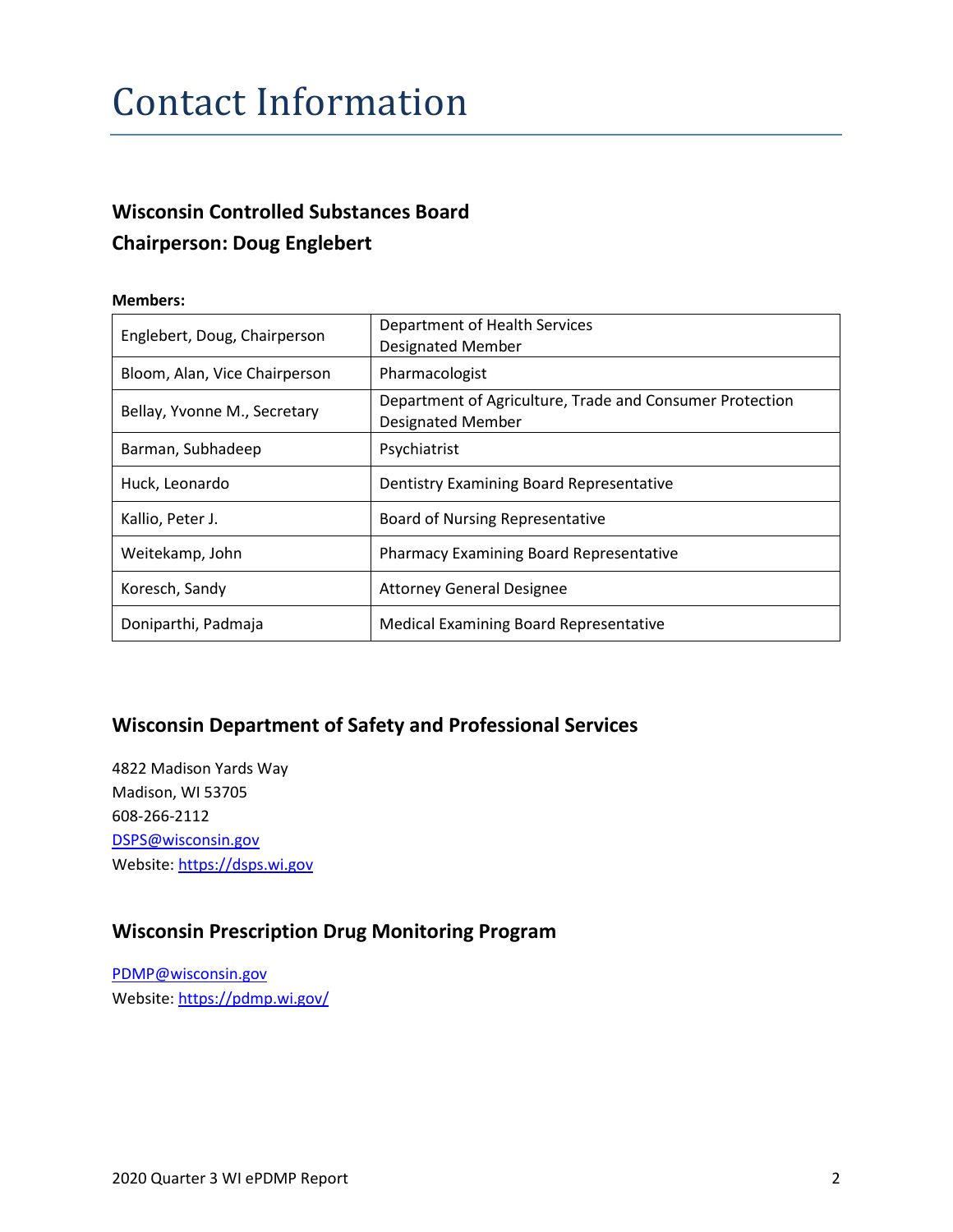#### Contact Information

#### **Wisconsin Controlled Substances Board Chairperson: Doug Englebert**

#### **Members:**

| Englebert, Doug, Chairperson  | Department of Health Services<br><b>Designated Member</b>                            |  |  |
|-------------------------------|--------------------------------------------------------------------------------------|--|--|
| Bloom, Alan, Vice Chairperson | Pharmacologist                                                                       |  |  |
| Bellay, Yvonne M., Secretary  | Department of Agriculture, Trade and Consumer Protection<br><b>Designated Member</b> |  |  |
| Barman, Subhadeep             | Psychiatrist                                                                         |  |  |
| Huck, Leonardo                | Dentistry Examining Board Representative                                             |  |  |
| Kallio, Peter J.              | Board of Nursing Representative                                                      |  |  |
| Weitekamp, John               | <b>Pharmacy Examining Board Representative</b>                                       |  |  |
| Koresch, Sandy                | <b>Attorney General Designee</b>                                                     |  |  |
| Doniparthi, Padmaja           | <b>Medical Examining Board Representative</b>                                        |  |  |

#### **Wisconsin Department of Safety and Professional Services**

4822 Madison Yards Way Madison, WI 53705 608-266-2112 [DSPS@wisconsin.gov](mailto:DSPS@wisconsin.gov) Website[: https://dsps.wi.gov](https://dsps.wi.gov/)

#### **Wisconsin Prescription Drug Monitoring Program**

[PDMP@wisconsin.gov](mailto:PDMP@wisconsin.gov) Website[: https://pdmp.wi.gov/](https://pdmp.wi.gov/)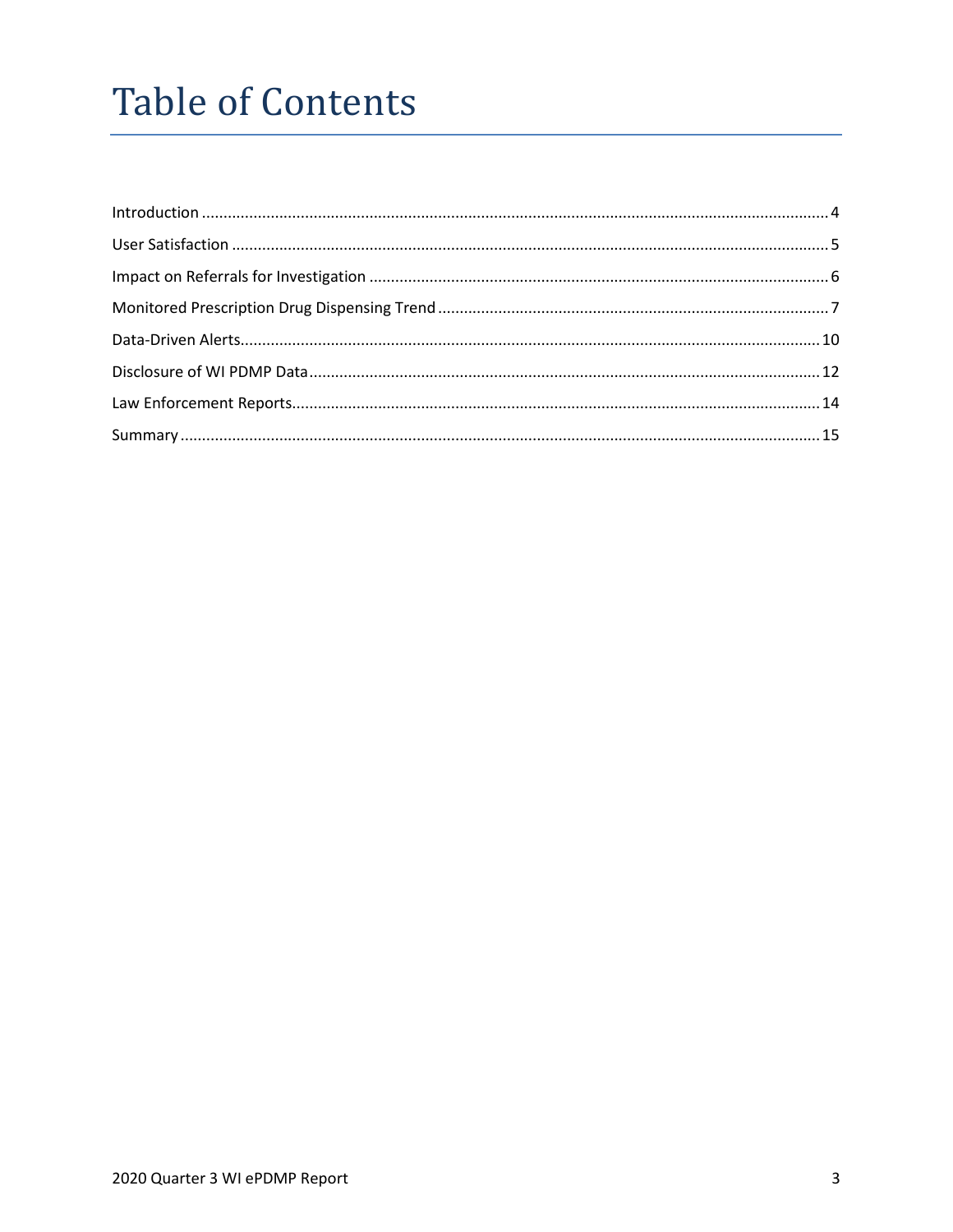## **Table of Contents**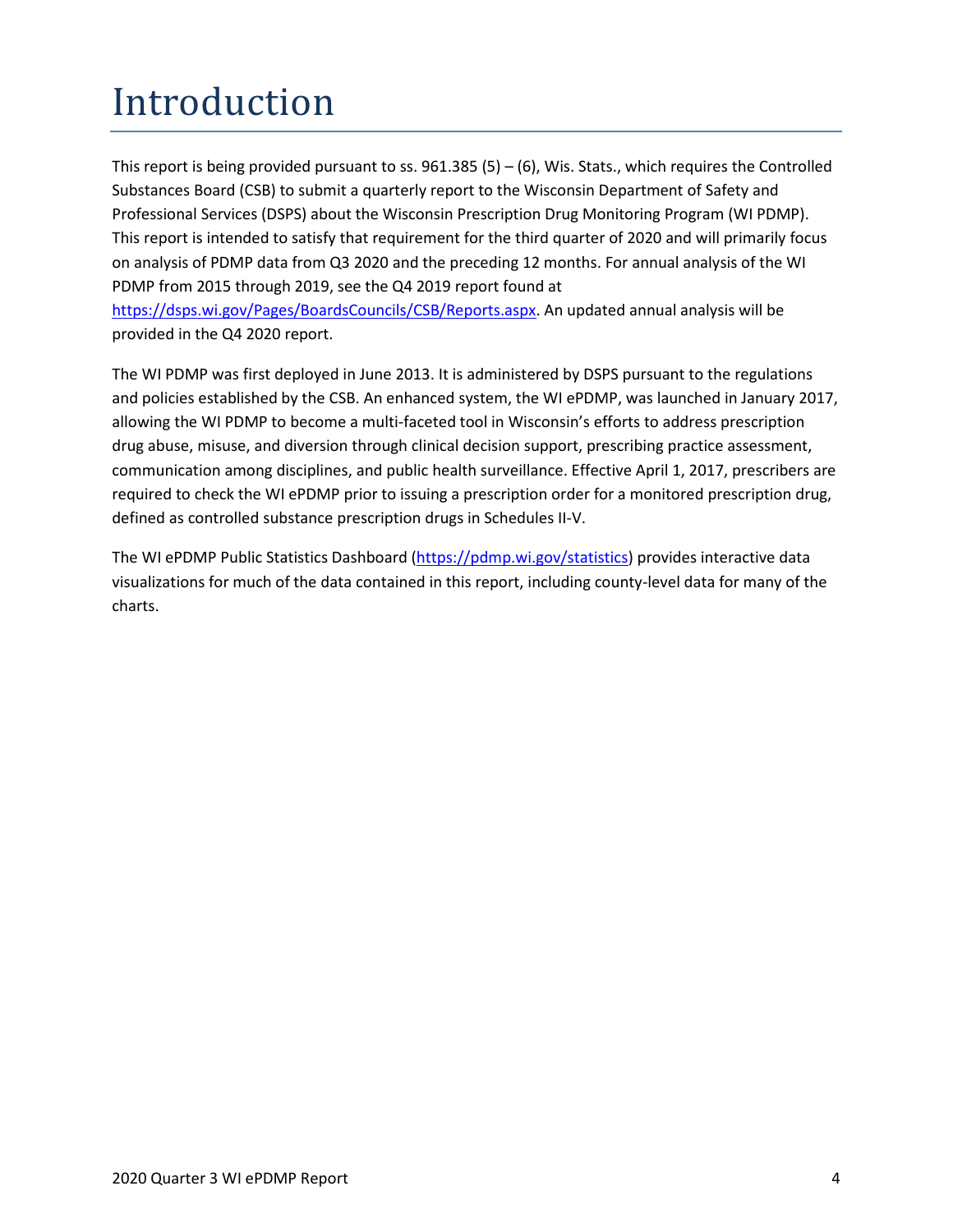# <span id="page-3-0"></span>Introduction

This report is being provided pursuant to ss.  $961.385(5) - (6)$ , Wis. Stats., which requires the Controlled Substances Board (CSB) to submit a quarterly report to the Wisconsin Department of Safety and Professional Services (DSPS) about the Wisconsin Prescription Drug Monitoring Program (WI PDMP). This report is intended to satisfy that requirement for the third quarter of 2020 and will primarily focus on analysis of PDMP data from Q3 2020 and the preceding 12 months. For annual analysis of the WI PDMP from 2015 through 2019, see the Q4 2019 report found at [https://dsps.wi.gov/Pages/BoardsCouncils/CSB/Reports.aspx.](https://dsps.wi.gov/Pages/BoardsCouncils/CSB/Reports.aspx) An updated annual analysis will be

provided in the Q4 2020 report.

The WI PDMP was first deployed in June 2013. It is administered by DSPS pursuant to the regulations and policies established by the CSB. An enhanced system, the WI ePDMP, was launched in January 2017, allowing the WI PDMP to become a multi-faceted tool in Wisconsin's efforts to address prescription drug abuse, misuse, and diversion through clinical decision support, prescribing practice assessment, communication among disciplines, and public health surveillance. Effective April 1, 2017, prescribers are required to check the WI ePDMP prior to issuing a prescription order for a monitored prescription drug, defined as controlled substance prescription drugs in Schedules II-V.

The WI ePDMP Public Statistics Dashboard [\(https://pdmp.wi.gov/statistics\)](https://pdmp.wi.gov/statistics) provides interactive data visualizations for much of the data contained in this report, including county-level data for many of the charts.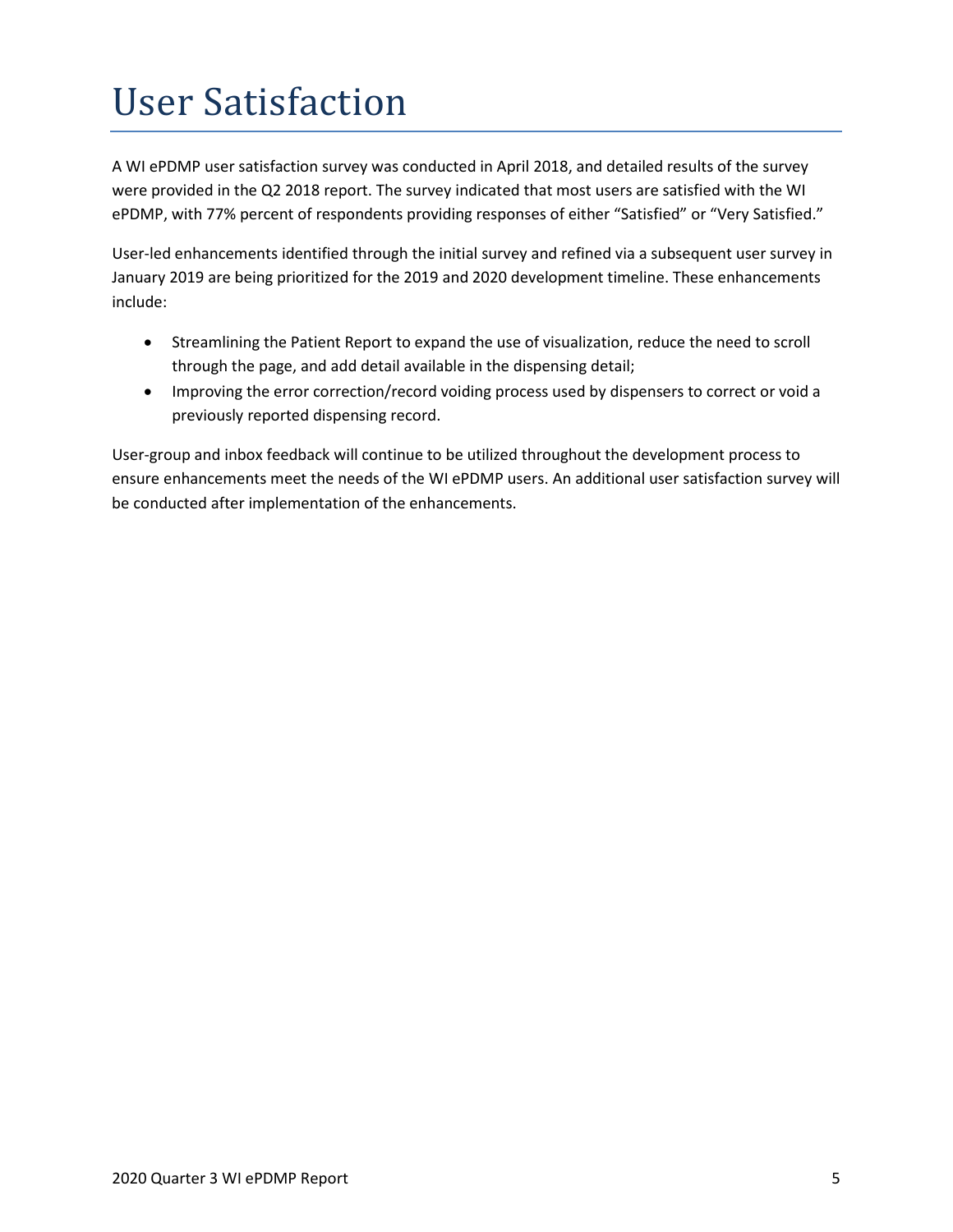# <span id="page-4-0"></span>User Satisfaction

A WI ePDMP user satisfaction survey was conducted in April 2018, and detailed results of the survey were provided in the Q2 2018 report. The survey indicated that most users are satisfied with the WI ePDMP, with 77% percent of respondents providing responses of either "Satisfied" or "Very Satisfied."

User-led enhancements identified through the initial survey and refined via a subsequent user survey in January 2019 are being prioritized for the 2019 and 2020 development timeline. These enhancements include:

- Streamlining the Patient Report to expand the use of visualization, reduce the need to scroll through the page, and add detail available in the dispensing detail;
- Improving the error correction/record voiding process used by dispensers to correct or void a previously reported dispensing record.

User-group and inbox feedback will continue to be utilized throughout the development process to ensure enhancements meet the needs of the WI ePDMP users. An additional user satisfaction survey will be conducted after implementation of the enhancements.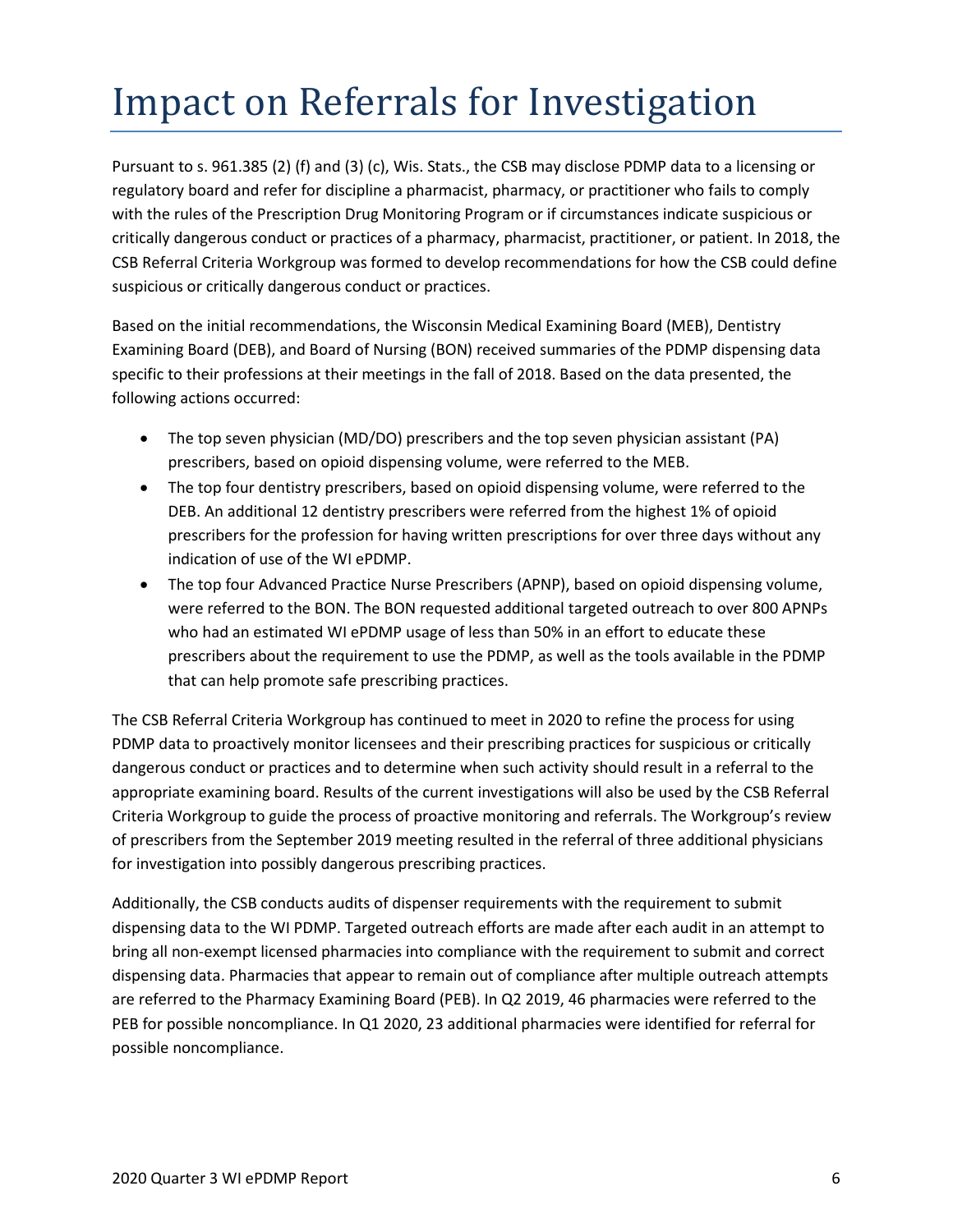## <span id="page-5-0"></span>Impact on Referrals for Investigation

Pursuant to s. 961.385 (2) (f) and (3) (c), Wis. Stats., the CSB may disclose PDMP data to a licensing or regulatory board and refer for discipline a pharmacist, pharmacy, or practitioner who fails to comply with the rules of the Prescription Drug Monitoring Program or if circumstances indicate suspicious or critically dangerous conduct or practices of a pharmacy, pharmacist, practitioner, or patient. In 2018, the CSB Referral Criteria Workgroup was formed to develop recommendations for how the CSB could define suspicious or critically dangerous conduct or practices.

Based on the initial recommendations, the Wisconsin Medical Examining Board (MEB), Dentistry Examining Board (DEB), and Board of Nursing (BON) received summaries of the PDMP dispensing data specific to their professions at their meetings in the fall of 2018. Based on the data presented, the following actions occurred:

- The top seven physician (MD/DO) prescribers and the top seven physician assistant (PA) prescribers, based on opioid dispensing volume, were referred to the MEB.
- The top four dentistry prescribers, based on opioid dispensing volume, were referred to the DEB. An additional 12 dentistry prescribers were referred from the highest 1% of opioid prescribers for the profession for having written prescriptions for over three days without any indication of use of the WI ePDMP.
- The top four Advanced Practice Nurse Prescribers (APNP), based on opioid dispensing volume, were referred to the BON. The BON requested additional targeted outreach to over 800 APNPs who had an estimated WI ePDMP usage of less than 50% in an effort to educate these prescribers about the requirement to use the PDMP, as well as the tools available in the PDMP that can help promote safe prescribing practices.

The CSB Referral Criteria Workgroup has continued to meet in 2020 to refine the process for using PDMP data to proactively monitor licensees and their prescribing practices for suspicious or critically dangerous conduct or practices and to determine when such activity should result in a referral to the appropriate examining board. Results of the current investigations will also be used by the CSB Referral Criteria Workgroup to guide the process of proactive monitoring and referrals. The Workgroup's review of prescribers from the September 2019 meeting resulted in the referral of three additional physicians for investigation into possibly dangerous prescribing practices.

Additionally, the CSB conducts audits of dispenser requirements with the requirement to submit dispensing data to the WI PDMP. Targeted outreach efforts are made after each audit in an attempt to bring all non-exempt licensed pharmacies into compliance with the requirement to submit and correct dispensing data. Pharmacies that appear to remain out of compliance after multiple outreach attempts are referred to the Pharmacy Examining Board (PEB). In Q2 2019, 46 pharmacies were referred to the PEB for possible noncompliance. In Q1 2020, 23 additional pharmacies were identified for referral for possible noncompliance.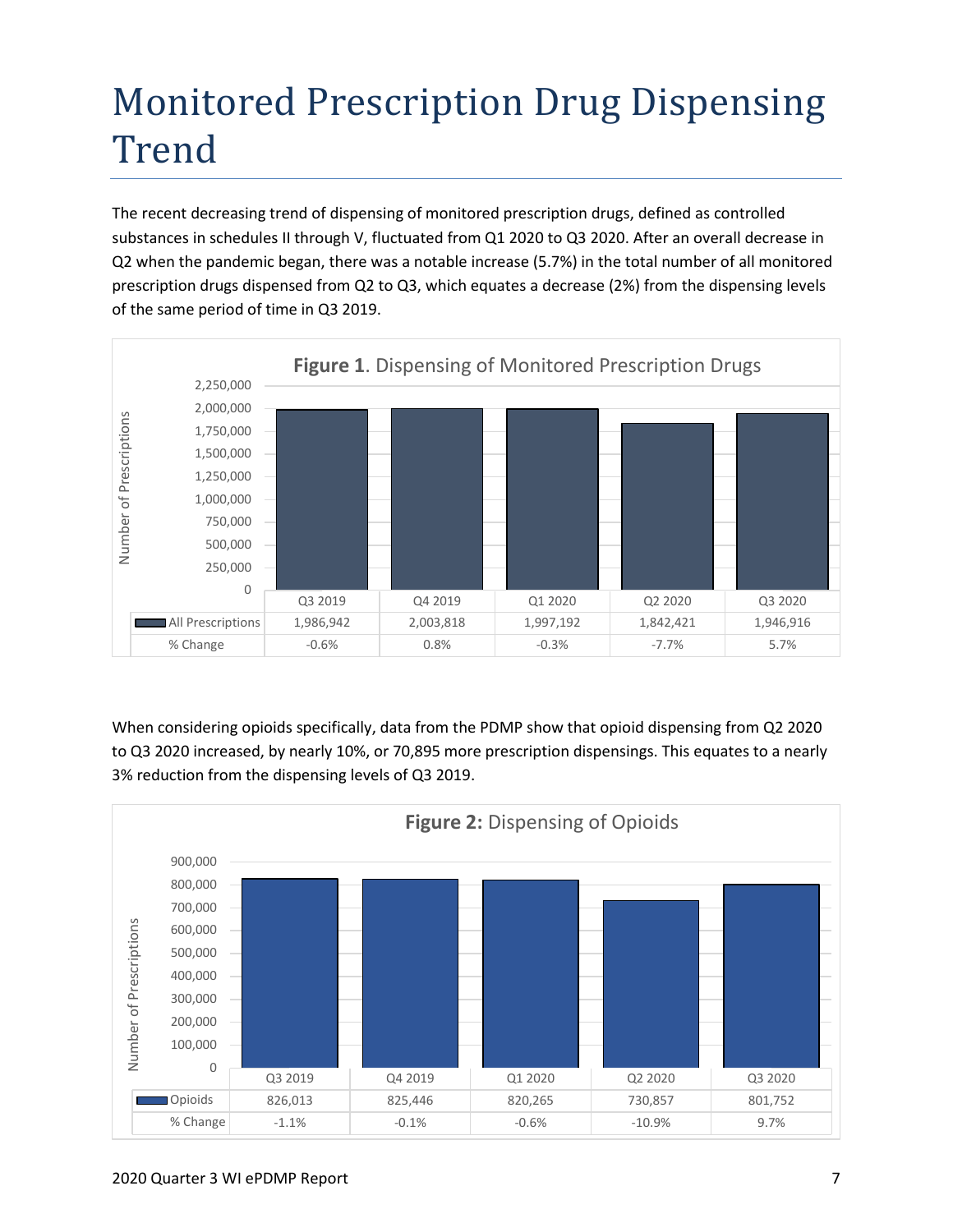## <span id="page-6-0"></span>Monitored Prescription Drug Dispensing Trend

The recent decreasing trend of dispensing of monitored prescription drugs, defined as controlled substances in schedules II through V, fluctuated from Q1 2020 to Q3 2020. After an overall decrease in Q2 when the pandemic began, there was a notable increase (5.7%) in the total number of all monitored prescription drugs dispensed from Q2 to Q3, which equates a decrease (2%) from the dispensing levels of the same period of time in Q3 2019.



When considering opioids specifically, data from the PDMP show that opioid dispensing from Q2 2020 to Q3 2020 increased, by nearly 10%, or 70,895 more prescription dispensings. This equates to a nearly 3% reduction from the dispensing levels of Q3 2019.

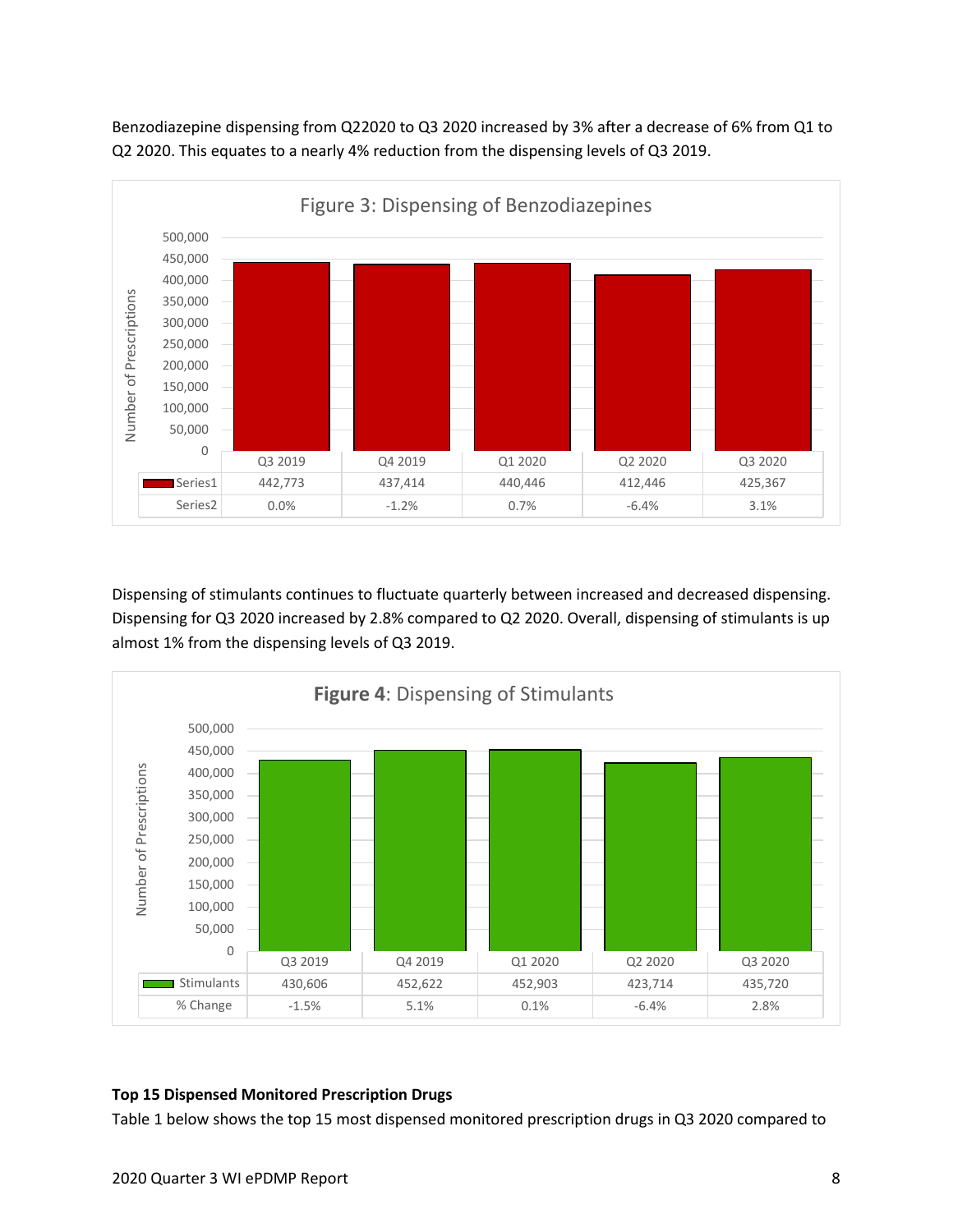Benzodiazepine dispensing from Q22020 to Q3 2020 increased by 3% after a decrease of 6% from Q1 to Q2 2020. This equates to a nearly 4% reduction from the dispensing levels of Q3 2019.



Dispensing of stimulants continues to fluctuate quarterly between increased and decreased dispensing. Dispensing for Q3 2020 increased by 2.8% compared to Q2 2020. Overall, dispensing of stimulants is up almost 1% from the dispensing levels of Q3 2019.



#### **Top 15 Dispensed Monitored Prescription Drugs**

Table 1 below shows the top 15 most dispensed monitored prescription drugs in Q3 2020 compared to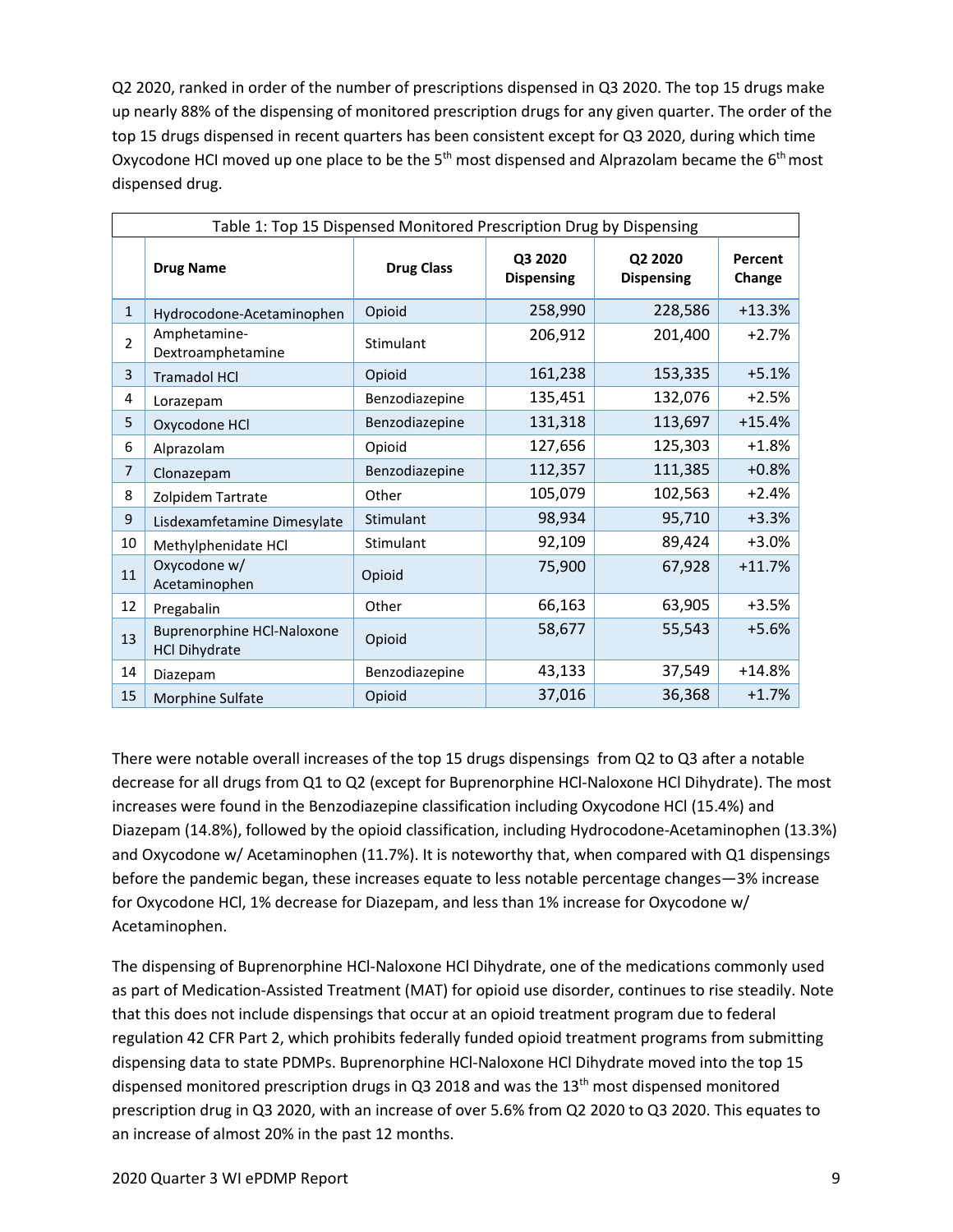Q2 2020, ranked in order of the number of prescriptions dispensed in Q3 2020. The top 15 drugs make up nearly 88% of the dispensing of monitored prescription drugs for any given quarter. The order of the top 15 drugs dispensed in recent quarters has been consistent except for Q3 2020, during which time Oxycodone HCI moved up one place to be the  $5<sup>th</sup>$  most dispensed and Alprazolam became the  $6<sup>th</sup>$  most dispensed drug.

| Table 1: Top 15 Dispensed Monitored Prescription Drug by Dispensing |                                                           |                   |                              |                              |                   |  |  |
|---------------------------------------------------------------------|-----------------------------------------------------------|-------------------|------------------------------|------------------------------|-------------------|--|--|
|                                                                     | <b>Drug Name</b>                                          | <b>Drug Class</b> | Q3 2020<br><b>Dispensing</b> | Q2 2020<br><b>Dispensing</b> | Percent<br>Change |  |  |
| $\mathbf{1}$                                                        | Hydrocodone-Acetaminophen                                 | Opioid            | 258,990                      | 228,586                      | $+13.3%$          |  |  |
| $\mathcal{P}$                                                       | Amphetamine-<br>Dextroamphetamine                         | Stimulant         | 206,912                      | 201,400                      | $+2.7%$           |  |  |
| 3                                                                   | <b>Tramadol HCI</b>                                       | Opioid            | 161,238                      | 153,335                      | $+5.1%$           |  |  |
| 4                                                                   | Lorazepam                                                 | Benzodiazepine    | 135,451                      | 132,076                      | $+2.5%$           |  |  |
| 5                                                                   | Oxycodone HCl                                             | Benzodiazepine    | 131,318                      | 113,697                      | $+15.4%$          |  |  |
| 6                                                                   | Alprazolam                                                | Opioid            | 127,656                      | 125,303                      | $+1.8%$           |  |  |
| 7                                                                   | Clonazepam                                                | Benzodiazepine    | 112,357                      | 111,385                      | $+0.8%$           |  |  |
| 8                                                                   | Zolpidem Tartrate                                         | Other             | 105,079                      | 102,563                      | $+2.4%$           |  |  |
| 9                                                                   | Lisdexamfetamine Dimesylate                               | Stimulant         | 98,934                       | 95,710                       | $+3.3%$           |  |  |
| 10                                                                  | Methylphenidate HCl                                       | Stimulant         | 92,109                       | 89,424                       | $+3.0%$           |  |  |
| 11                                                                  | Oxycodone w/<br>Acetaminophen                             | Opioid            | 75,900                       | 67,928                       | $+11.7%$          |  |  |
| 12                                                                  | Pregabalin                                                | Other             | 66,163                       | 63,905                       | $+3.5%$           |  |  |
| 13                                                                  | <b>Buprenorphine HCl-Naloxone</b><br><b>HCl Dihydrate</b> | Opioid            | 58,677                       | 55,543                       | $+5.6%$           |  |  |
| 14                                                                  | Diazepam                                                  | Benzodiazepine    | 43,133                       | 37,549                       | $+14.8%$          |  |  |
| 15                                                                  | Morphine Sulfate                                          | Opioid            | 37,016                       | 36,368                       | $+1.7%$           |  |  |

There were notable overall increases of the top 15 drugs dispensings from Q2 to Q3 after a notable decrease for all drugs from Q1 to Q2 (except for Buprenorphine HCl-Naloxone HCl Dihydrate). The most increases were found in the Benzodiazepine classification including Oxycodone HCl (15.4%) and Diazepam (14.8%), followed by the opioid classification, including Hydrocodone-Acetaminophen (13.3%) and Oxycodone w/ Acetaminophen (11.7%). It is noteworthy that, when compared with Q1 dispensings before the pandemic began, these increases equate to less notable percentage changes—3% increase for Oxycodone HCl, 1% decrease for Diazepam, and less than 1% increase for Oxycodone w/ Acetaminophen.

<span id="page-8-0"></span>The dispensing of Buprenorphine HCl-Naloxone HCl Dihydrate, one of the medications commonly used as part of Medication-Assisted Treatment (MAT) for opioid use disorder, continues to rise steadily. Note that this does not include dispensings that occur at an opioid treatment program due to federal regulation 42 CFR Part 2, which prohibits federally funded opioid treatment programs from submitting dispensing data to state PDMPs. Buprenorphine HCl-Naloxone HCl Dihydrate moved into the top 15 dispensed monitored prescription drugs in Q3 2018 and was the 13<sup>th</sup> most dispensed monitored prescription drug in Q3 2020, with an increase of over 5.6% from Q2 2020 to Q3 2020. This equates to an increase of almost 20% in the past 12 months.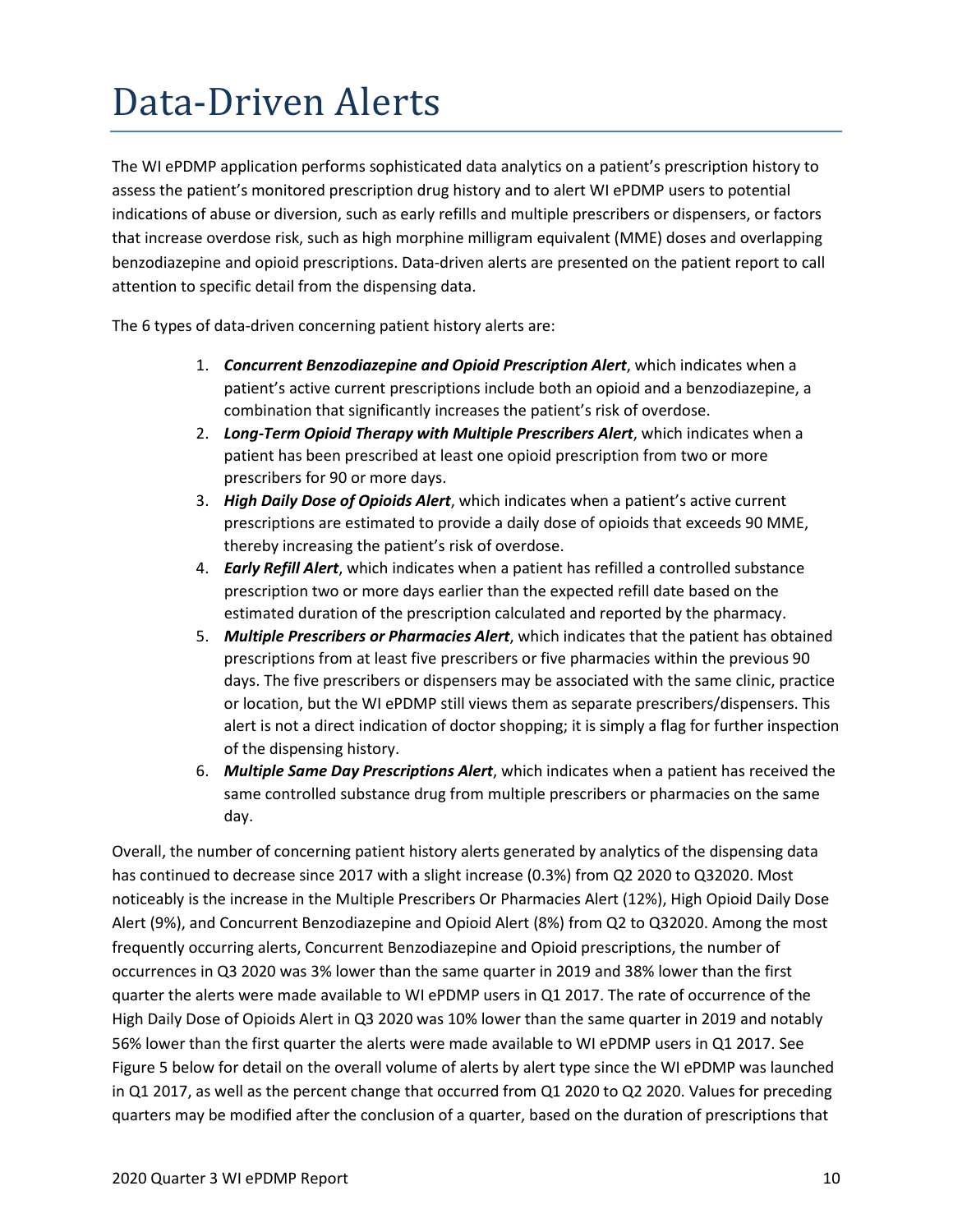## Data-Driven Alerts

The WI ePDMP application performs sophisticated data analytics on a patient's prescription history to assess the patient's monitored prescription drug history and to alert WI ePDMP users to potential indications of abuse or diversion, such as early refills and multiple prescribers or dispensers, or factors that increase overdose risk, such as high morphine milligram equivalent (MME) doses and overlapping benzodiazepine and opioid prescriptions. Data-driven alerts are presented on the patient report to call attention to specific detail from the dispensing data.

The 6 types of data-driven concerning patient history alerts are:

- 1. *Concurrent Benzodiazepine and Opioid Prescription Alert*, which indicates when a patient's active current prescriptions include both an opioid and a benzodiazepine, a combination that significantly increases the patient's risk of overdose.
- 2. *Long-Term Opioid Therapy with Multiple Prescribers Alert*, which indicates when a patient has been prescribed at least one opioid prescription from two or more prescribers for 90 or more days.
- 3. *High Daily Dose of Opioids Alert*, which indicates when a patient's active current prescriptions are estimated to provide a daily dose of opioids that exceeds 90 MME, thereby increasing the patient's risk of overdose.
- 4. *Early Refill Alert*, which indicates when a patient has refilled a controlled substance prescription two or more days earlier than the expected refill date based on the estimated duration of the prescription calculated and reported by the pharmacy.
- 5. *Multiple Prescribers or Pharmacies Alert*, which indicates that the patient has obtained prescriptions from at least five prescribers or five pharmacies within the previous 90 days. The five prescribers or dispensers may be associated with the same clinic, practice or location, but the WI ePDMP still views them as separate prescribers/dispensers. This alert is not a direct indication of doctor shopping; it is simply a flag for further inspection of the dispensing history.
- 6. *Multiple Same Day Prescriptions Alert*, which indicates when a patient has received the same controlled substance drug from multiple prescribers or pharmacies on the same day.

Overall, the number of concerning patient history alerts generated by analytics of the dispensing data has continued to decrease since 2017 with a slight increase (0.3%) from Q2 2020 to Q32020. Most noticeably is the increase in the Multiple Prescribers Or Pharmacies Alert (12%), High Opioid Daily Dose Alert (9%), and Concurrent Benzodiazepine and Opioid Alert (8%) from Q2 to Q32020. Among the most frequently occurring alerts, Concurrent Benzodiazepine and Opioid prescriptions, the number of occurrences in Q3 2020 was 3% lower than the same quarter in 2019 and 38% lower than the first quarter the alerts were made available to WI ePDMP users in Q1 2017. The rate of occurrence of the High Daily Dose of Opioids Alert in Q3 2020 was 10% lower than the same quarter in 2019 and notably 56% lower than the first quarter the alerts were made available to WI ePDMP users in Q1 2017. See Figure 5 below for detail on the overall volume of alerts by alert type since the WI ePDMP was launched in Q1 2017, as well as the percent change that occurred from Q1 2020 to Q2 2020. Values for preceding quarters may be modified after the conclusion of a quarter, based on the duration of prescriptions that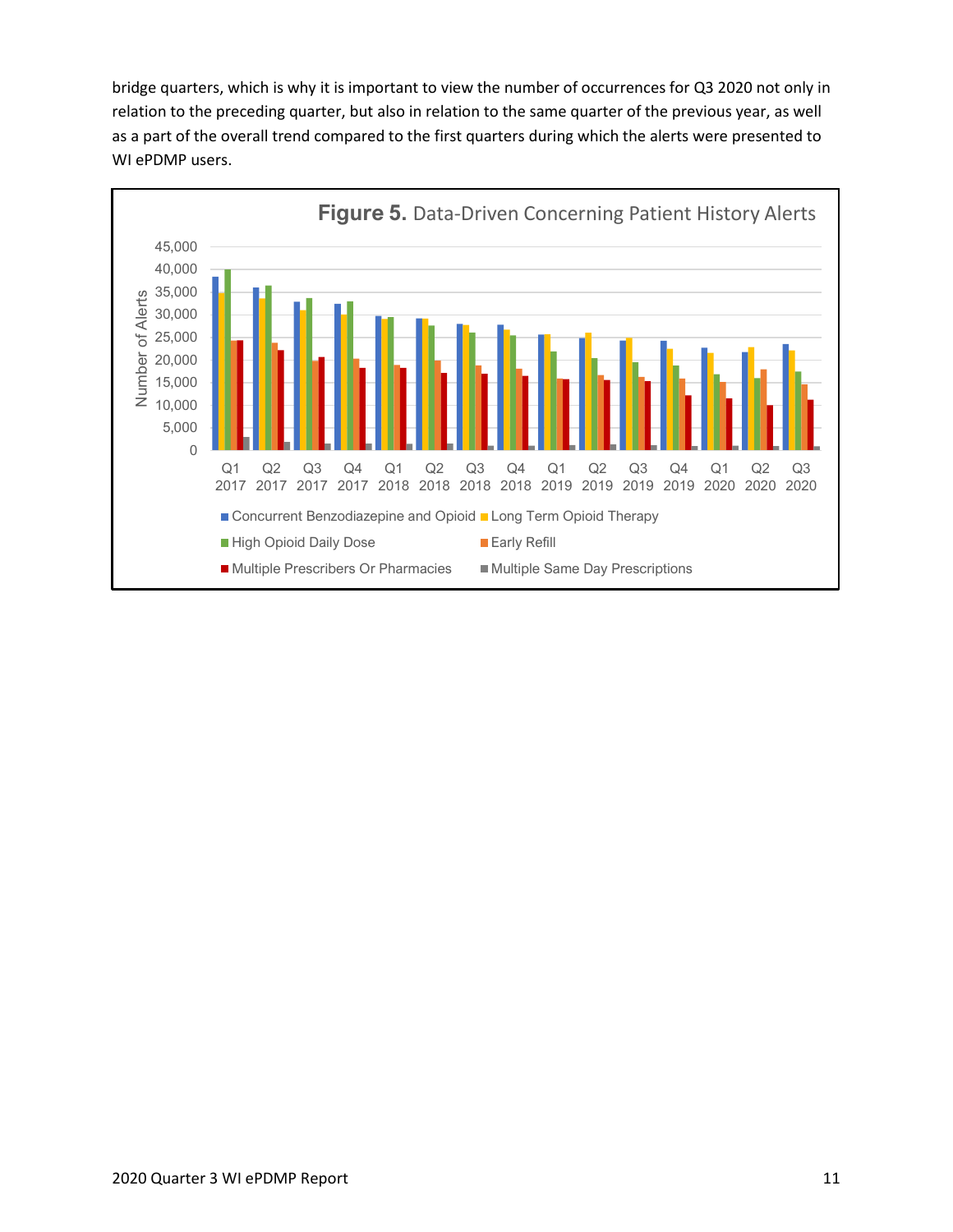bridge quarters, which is why it is important to view the number of occurrences for Q3 2020 not only in relation to the preceding quarter, but also in relation to the same quarter of the previous year, as well as a part of the overall trend compared to the first quarters during which the alerts were presented to WI ePDMP users.

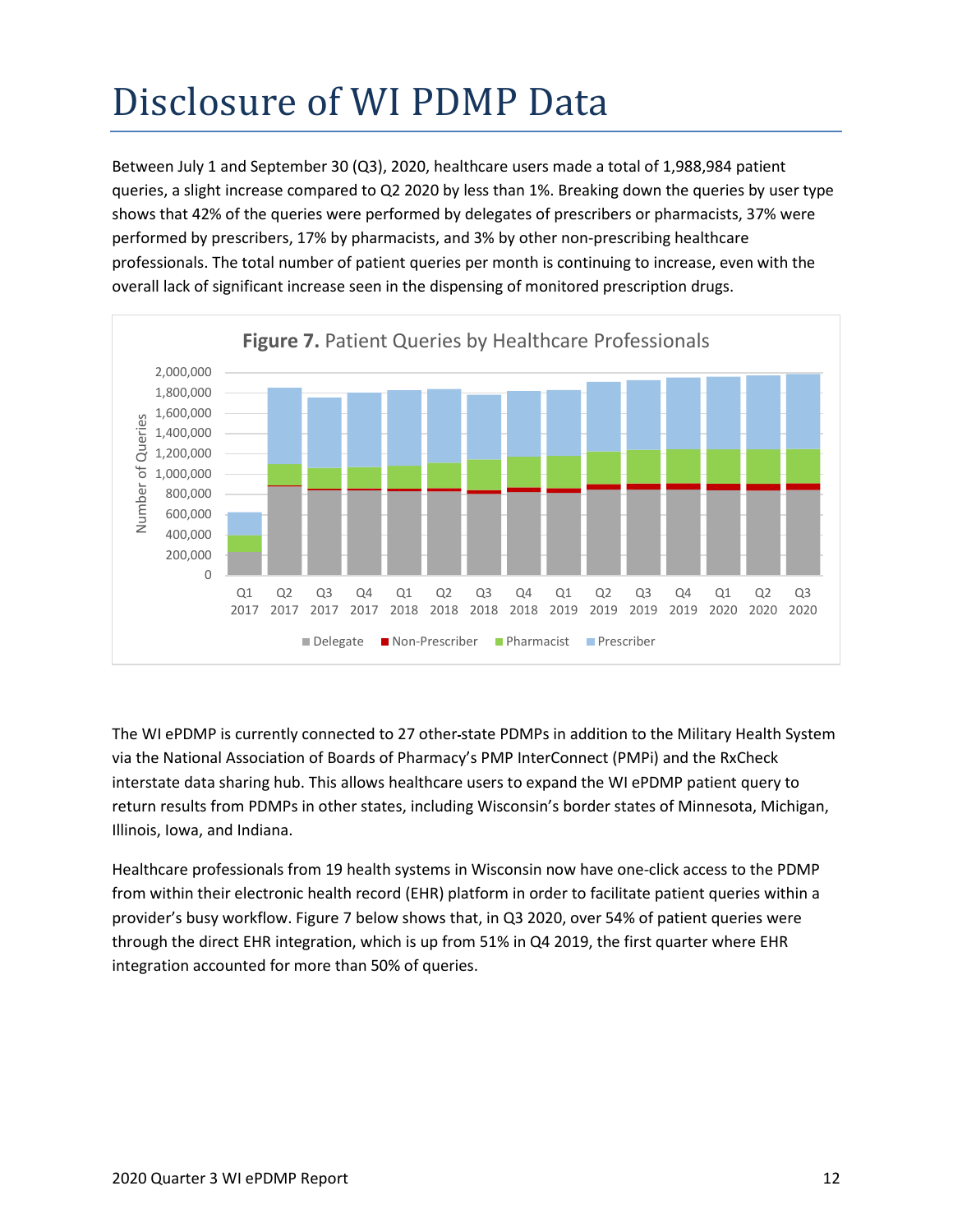# <span id="page-11-0"></span>Disclosure of WI PDMP Data

Between July 1 and September 30 (Q3), 2020, healthcare users made a total of 1,988,984 patient queries, a slight increase compared to Q2 2020 by less than 1%. Breaking down the queries by user type shows that 42% of the queries were performed by delegates of prescribers or pharmacists, 37% were performed by prescribers, 17% by pharmacists, and 3% by other non-prescribing healthcare professionals. The total number of patient queries per month is continuing to increase, even with the overall lack of significant increase seen in the dispensing of monitored prescription drugs.



The WI ePDMP is currently connected to 27 other state PDMPs in addition to the Military Health System via the National Association of Boards of Pharmacy's PMP InterConnect (PMPi) and the RxCheck interstate data sharing hub. This allows healthcare users to expand the WI ePDMP patient query to return results from PDMPs in other states, including Wisconsin's border states of Minnesota, Michigan, Illinois, Iowa, and Indiana.

Healthcare professionals from 19 health systems in Wisconsin now have one-click access to the PDMP from within their electronic health record (EHR) platform in order to facilitate patient queries within a provider's busy workflow. Figure 7 below shows that, in Q3 2020, over 54% of patient queries were through the direct EHR integration, which is up from 51% in Q4 2019, the first quarter where EHR integration accounted for more than 50% of queries.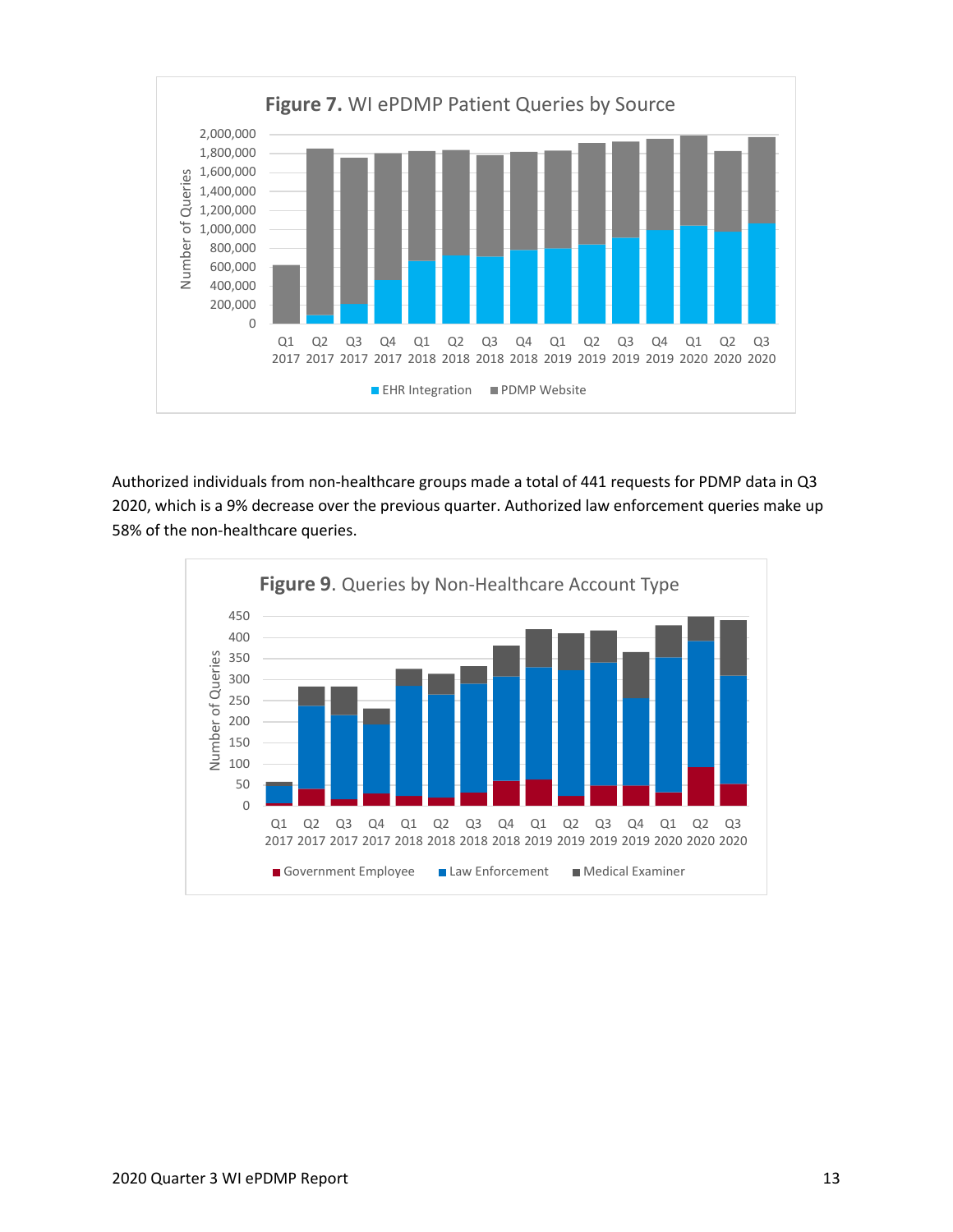

Authorized individuals from non-healthcare groups made a total of 441 requests for PDMP data in Q3 2020, which is a 9% decrease over the previous quarter. Authorized law enforcement queries make up 58% of the non-healthcare queries.

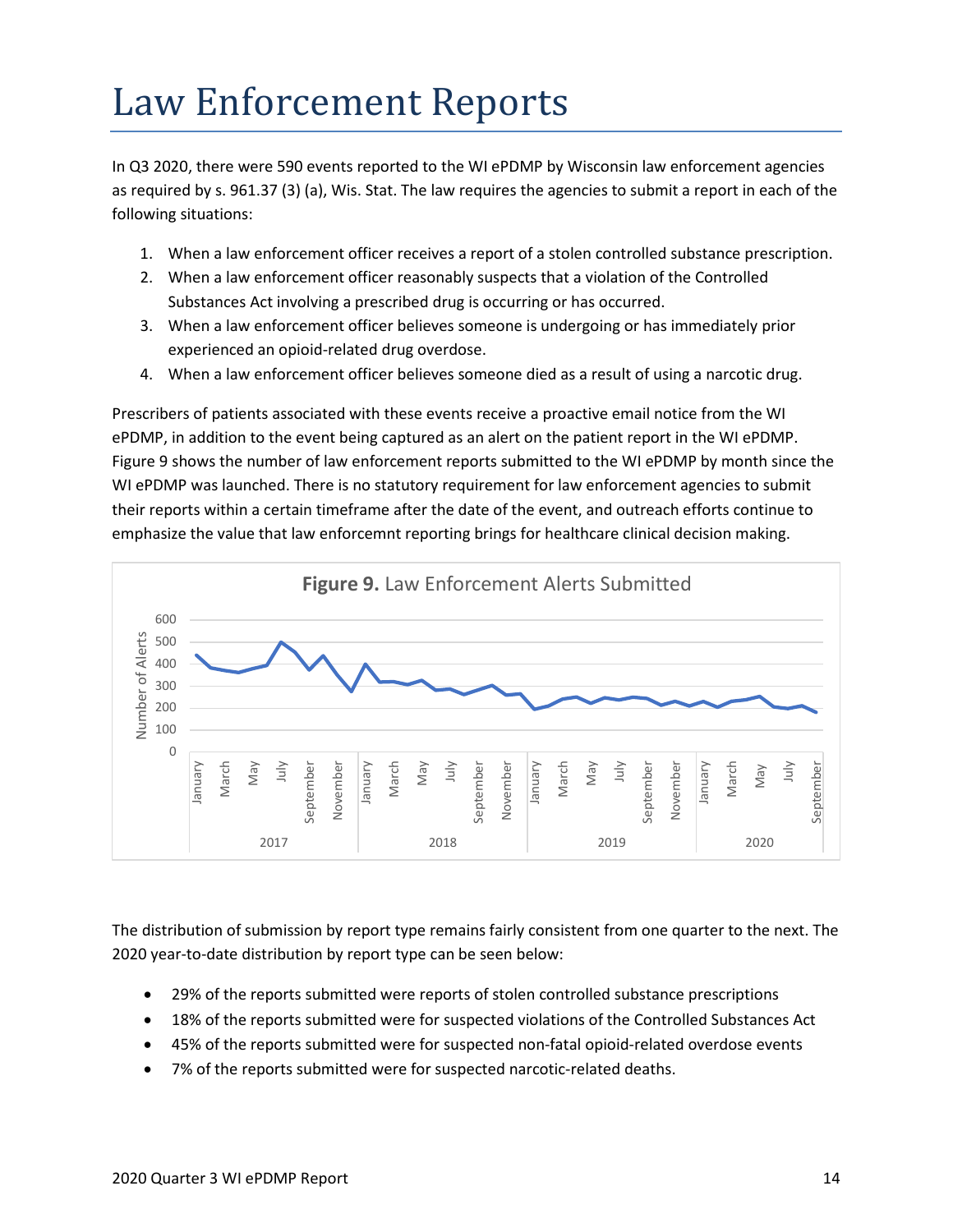#### <span id="page-13-0"></span>Law Enforcement Reports

In Q3 2020, there were 590 events reported to the WI ePDMP by Wisconsin law enforcement agencies as required by s. [961.37 \(3\) \(a\),](https://docs.legis.wisconsin.gov/document/statutes/961.37(3)(a)) Wis. Stat. The law requires the agencies to submit a report in each of the following situations:

- 1. When a law enforcement officer receives a report of a stolen controlled substance prescription.
- 2. When a law enforcement officer reasonably suspects that a violation of the Controlled Substances Act involving a prescribed drug is occurring or has occurred.
- 3. When a law enforcement officer believes someone is undergoing or has immediately prior experienced an opioid-related drug overdose.
- 4. When a law enforcement officer believes someone died as a result of using a narcotic drug.

Prescribers of patients associated with these events receive a proactive email notice from the WI ePDMP, in addition to the event being captured as an alert on the patient report in the WI ePDMP. Figure 9 shows the number of law enforcement reports submitted to the WI ePDMP by month since the WI ePDMP was launched. There is no statutory requirement for law enforcement agencies to submit their reports within a certain timeframe after the date of the event, and outreach efforts continue to emphasize the value that law enforcemnt reporting brings for healthcare clinical decision making.



The distribution of submission by report type remains fairly consistent from one quarter to the next. The 2020 year-to-date distribution by report type can be seen below:

- 29% of the reports submitted were reports of stolen controlled substance prescriptions
- 18% of the reports submitted were for suspected violations of the Controlled Substances Act
- 45% of the reports submitted were for suspected non-fatal opioid-related overdose events
- 7% of the reports submitted were for suspected narcotic-related deaths.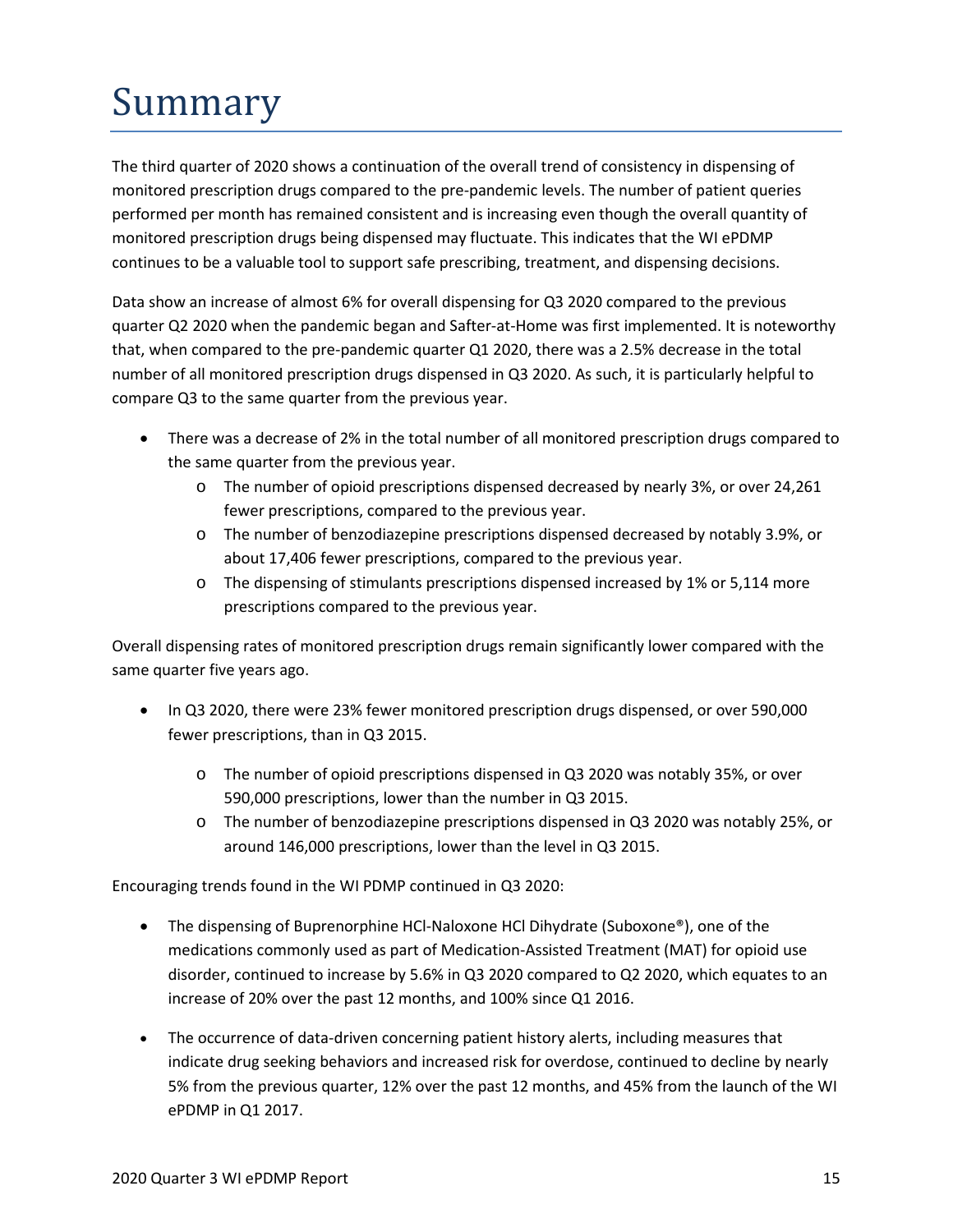# <span id="page-14-0"></span>Summary

The third quarter of 2020 shows a continuation of the overall trend of consistency in dispensing of monitored prescription drugs compared to the pre-pandemic levels. The number of patient queries performed per month has remained consistent and is increasing even though the overall quantity of monitored prescription drugs being dispensed may fluctuate. This indicates that the WI ePDMP continues to be a valuable tool to support safe prescribing, treatment, and dispensing decisions.

Data show an increase of almost 6% for overall dispensing for Q3 2020 compared to the previous quarter Q2 2020 when the pandemic began and Safter-at-Home was first implemented. It is noteworthy that, when compared to the pre-pandemic quarter Q1 2020, there was a 2.5% decrease in the total number of all monitored prescription drugs dispensed in Q3 2020. As such, it is particularly helpful to compare Q3 to the same quarter from the previous year.

- There was a decrease of 2% in the total number of all monitored prescription drugs compared to the same quarter from the previous year.
	- o The number of opioid prescriptions dispensed decreased by nearly 3%, or over 24,261 fewer prescriptions, compared to the previous year.
	- o The number of benzodiazepine prescriptions dispensed decreased by notably 3.9%, or about 17,406 fewer prescriptions, compared to the previous year.
	- o The dispensing of stimulants prescriptions dispensed increased by 1% or 5,114 more prescriptions compared to the previous year.

Overall dispensing rates of monitored prescription drugs remain significantly lower compared with the same quarter five years ago.

- In Q3 2020, there were 23% fewer monitored prescription drugs dispensed, or over 590,000 fewer prescriptions, than in Q3 2015.
	- o The number of opioid prescriptions dispensed in Q3 2020 was notably 35%, or over 590,000 prescriptions, lower than the number in Q3 2015.
	- o The number of benzodiazepine prescriptions dispensed in Q3 2020 was notably 25%, or around 146,000 prescriptions, lower than the level in Q3 2015.

Encouraging trends found in the WI PDMP continued in Q3 2020:

- The dispensing of Buprenorphine HCl-Naloxone HCl Dihydrate (Suboxone®), one of the medications commonly used as part of Medication-Assisted Treatment (MAT) for opioid use disorder, continued to increase by 5.6% in Q3 2020 compared to Q2 2020, which equates to an increase of 20% over the past 12 months, and 100% since Q1 2016.
- The occurrence of data-driven concerning patient history alerts, including measures that indicate drug seeking behaviors and increased risk for overdose, continued to decline by nearly 5% from the previous quarter, 12% over the past 12 months, and 45% from the launch of the WI ePDMP in Q1 2017.